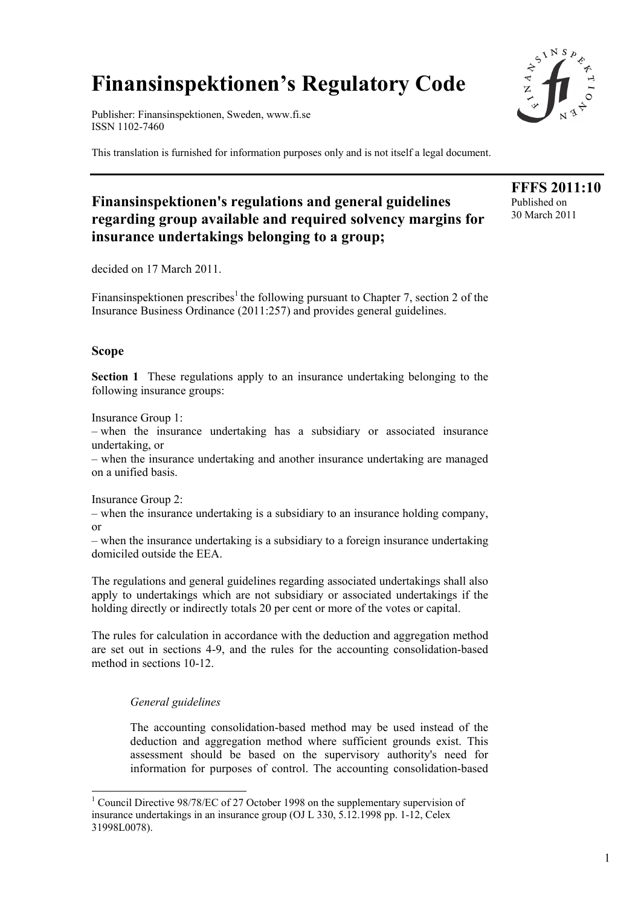# **Finansinspektionen's Regulatory Code**

Publisher: Finansinspektionen, Sweden, www.fi.se ISSN 1102-7460

This translation is furnished for information purposes only and is not itself a legal document.

# **Finansinspektionen's regulations and general guidelines regarding group available and required solvency margins for insurance undertakings belonging to a group;**

decided on 17 March 2011.

Finansinspektionen prescribes<sup>1</sup> the following pursuant to Chapter 7, section 2 of the Insurance Business Ordinance (2011:257) and provides general guidelines.

# **Scope**

**Section 1** These regulations apply to an insurance undertaking belonging to the following insurance groups:

Insurance Group 1:

– when the insurance undertaking has a subsidiary or associated insurance undertaking, or

– when the insurance undertaking and another insurance undertaking are managed on a unified basis.

Insurance Group 2:

– when the insurance undertaking is a subsidiary to an insurance holding company, or

– when the insurance undertaking is a subsidiary to a foreign insurance undertaking domiciled outside the EEA.

The regulations and general guidelines regarding associated undertakings shall also apply to undertakings which are not subsidiary or associated undertakings if the holding directly or indirectly totals 20 per cent or more of the votes or capital.

The rules for calculation in accordance with the deduction and aggregation method are set out in sections 4-9, and the rules for the accounting consolidation-based method in sections 10-12.

#### *General guidelines*

-

The accounting consolidation-based method may be used instead of the deduction and aggregation method where sufficient grounds exist. This assessment should be based on the supervisory authority's need for information for purposes of control. The accounting consolidation-based



**FFFS 2011:10**  Published on 30 March 2011

<sup>&</sup>lt;sup>1</sup> Council Directive 98/78/EC of 27 October 1998 on the supplementary supervision of insurance undertakings in an insurance group (OJ L 330, 5.12.1998 pp. 1-12, Celex 31998L0078).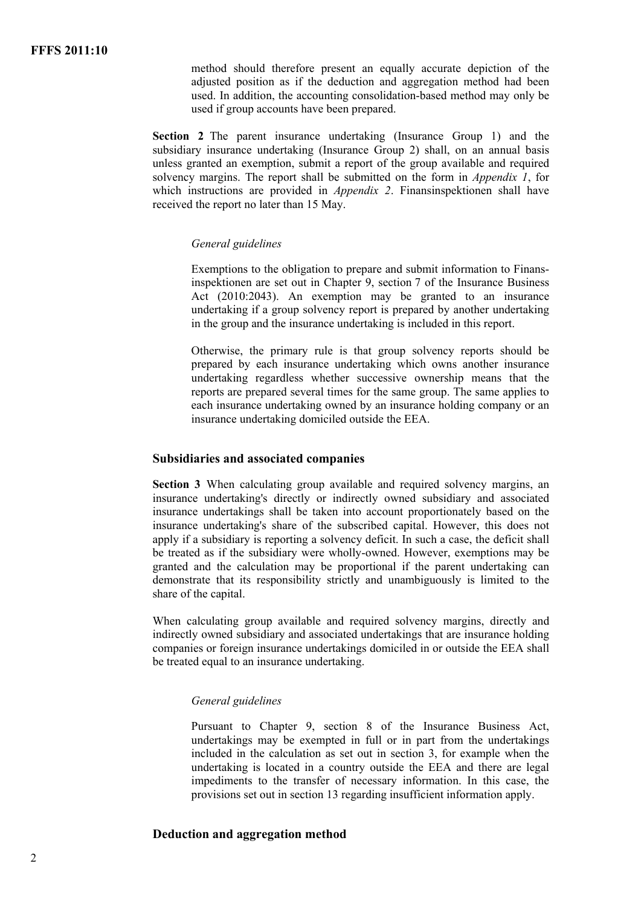method should therefore present an equally accurate depiction of the adjusted position as if the deduction and aggregation method had been used. In addition, the accounting consolidation-based method may only be used if group accounts have been prepared.

**Section 2** The parent insurance undertaking (Insurance Group 1) and the subsidiary insurance undertaking (Insurance Group 2) shall, on an annual basis unless granted an exemption, submit a report of the group available and required solvency margins. The report shall be submitted on the form in *Appendix 1*, for which instructions are provided in *Appendix 2*. Finansinspektionen shall have received the report no later than 15 May.

#### *General guidelines*

Exemptions to the obligation to prepare and submit information to Finansinspektionen are set out in Chapter 9, section 7 of the Insurance Business Act (2010:2043). An exemption may be granted to an insurance undertaking if a group solvency report is prepared by another undertaking in the group and the insurance undertaking is included in this report.

Otherwise, the primary rule is that group solvency reports should be prepared by each insurance undertaking which owns another insurance undertaking regardless whether successive ownership means that the reports are prepared several times for the same group. The same applies to each insurance undertaking owned by an insurance holding company or an insurance undertaking domiciled outside the EEA.

#### **Subsidiaries and associated companies**

**Section 3** When calculating group available and required solvency margins, an insurance undertaking's directly or indirectly owned subsidiary and associated insurance undertakings shall be taken into account proportionately based on the insurance undertaking's share of the subscribed capital. However, this does not apply if a subsidiary is reporting a solvency deficit. In such a case, the deficit shall be treated as if the subsidiary were wholly-owned. However, exemptions may be granted and the calculation may be proportional if the parent undertaking can demonstrate that its responsibility strictly and unambiguously is limited to the share of the capital.

When calculating group available and required solvency margins, directly and indirectly owned subsidiary and associated undertakings that are insurance holding companies or foreign insurance undertakings domiciled in or outside the EEA shall be treated equal to an insurance undertaking.

#### *General guidelines*

Pursuant to Chapter 9, section 8 of the Insurance Business Act, undertakings may be exempted in full or in part from the undertakings included in the calculation as set out in section 3, for example when the undertaking is located in a country outside the EEA and there are legal impediments to the transfer of necessary information. In this case, the provisions set out in section 13 regarding insufficient information apply.

#### **Deduction and aggregation method**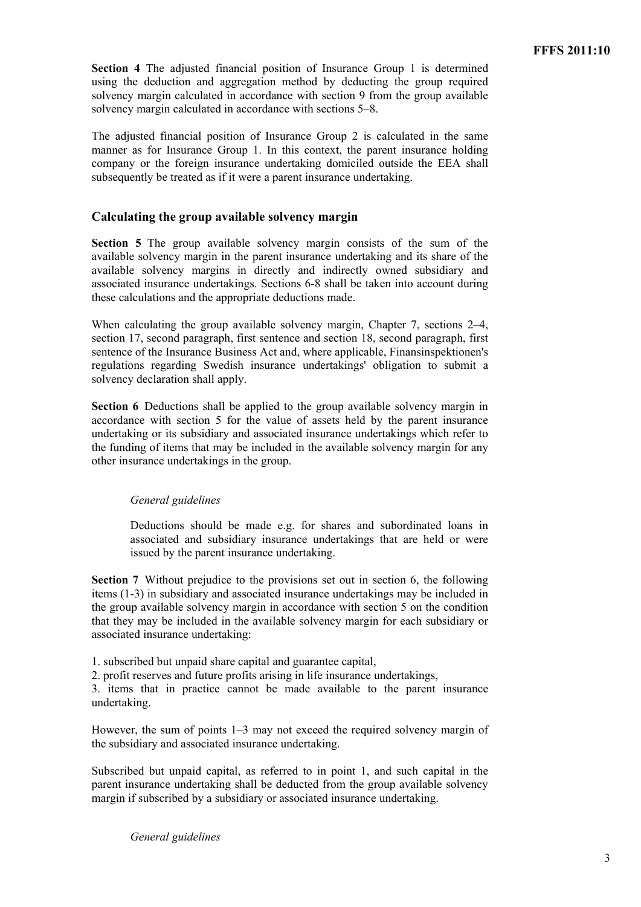**Section 4** The adjusted financial position of Insurance Group 1 is determined using the deduction and aggregation method by deducting the group required solvency margin calculated in accordance with section 9 from the group available solvency margin calculated in accordance with sections 5–8.

The adjusted financial position of Insurance Group 2 is calculated in the same manner as for Insurance Group 1. In this context, the parent insurance holding company or the foreign insurance undertaking domiciled outside the EEA shall subsequently be treated as if it were a parent insurance undertaking.

### **Calculating the group available solvency margin**

**Section 5** The group available solvency margin consists of the sum of the available solvency margin in the parent insurance undertaking and its share of the available solvency margins in directly and indirectly owned subsidiary and associated insurance undertakings. Sections 6-8 shall be taken into account during these calculations and the appropriate deductions made.

When calculating the group available solvency margin, Chapter 7, sections 2–4, section 17, second paragraph, first sentence and section 18, second paragraph, first sentence of the Insurance Business Act and, where applicable, Finansinspektionen's regulations regarding Swedish insurance undertakings' obligation to submit a solvency declaration shall apply.

**Section 6** Deductions shall be applied to the group available solvency margin in accordance with section 5 for the value of assets held by the parent insurance undertaking or its subsidiary and associated insurance undertakings which refer to the funding of items that may be included in the available solvency margin for any other insurance undertakings in the group.

#### *General guidelines*

Deductions should be made e.g. for shares and subordinated loans in associated and subsidiary insurance undertakings that are held or were issued by the parent insurance undertaking.

**Section 7** Without prejudice to the provisions set out in section 6, the following items (1-3) in subsidiary and associated insurance undertakings may be included in the group available solvency margin in accordance with section 5 on the condition that they may be included in the available solvency margin for each subsidiary or associated insurance undertaking:

1. subscribed but unpaid share capital and guarantee capital,

2. profit reserves and future profits arising in life insurance undertakings,

3. items that in practice cannot be made available to the parent insurance undertaking.

However, the sum of points 1–3 may not exceed the required solvency margin of the subsidiary and associated insurance undertaking.

Subscribed but unpaid capital, as referred to in point 1, and such capital in the parent insurance undertaking shall be deducted from the group available solvency margin if subscribed by a subsidiary or associated insurance undertaking.

*General guidelines*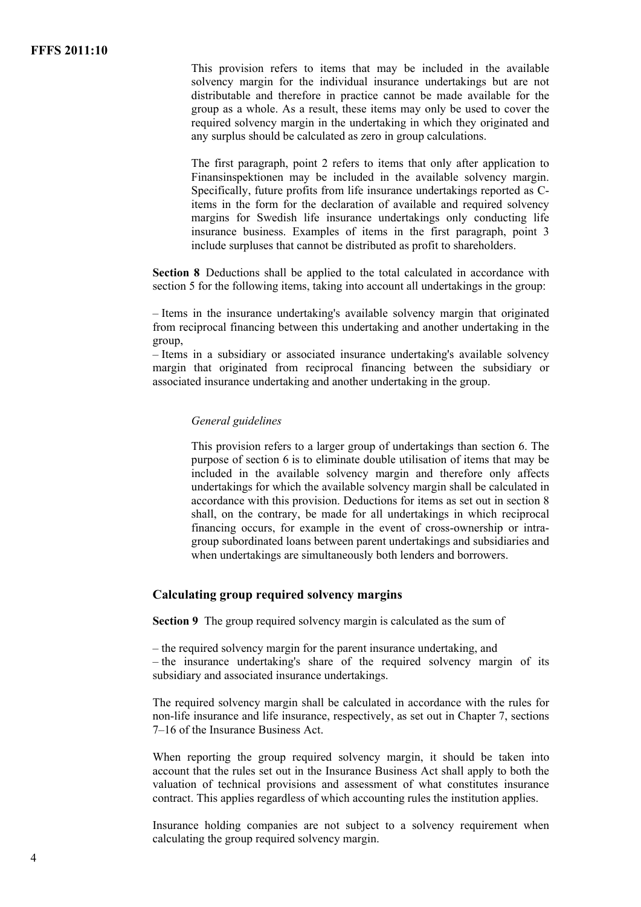This provision refers to items that may be included in the available solvency margin for the individual insurance undertakings but are not distributable and therefore in practice cannot be made available for the group as a whole. As a result, these items may only be used to cover the required solvency margin in the undertaking in which they originated and any surplus should be calculated as zero in group calculations.

The first paragraph, point 2 refers to items that only after application to Finansinspektionen may be included in the available solvency margin. Specifically, future profits from life insurance undertakings reported as Citems in the form for the declaration of available and required solvency margins for Swedish life insurance undertakings only conducting life insurance business. Examples of items in the first paragraph, point 3 include surpluses that cannot be distributed as profit to shareholders.

**Section 8** Deductions shall be applied to the total calculated in accordance with section 5 for the following items, taking into account all undertakings in the group:

– Items in the insurance undertaking's available solvency margin that originated from reciprocal financing between this undertaking and another undertaking in the group,

– Items in a subsidiary or associated insurance undertaking's available solvency margin that originated from reciprocal financing between the subsidiary or associated insurance undertaking and another undertaking in the group.

#### *General guidelines*

This provision refers to a larger group of undertakings than section 6. The purpose of section 6 is to eliminate double utilisation of items that may be included in the available solvency margin and therefore only affects undertakings for which the available solvency margin shall be calculated in accordance with this provision. Deductions for items as set out in section 8 shall, on the contrary, be made for all undertakings in which reciprocal financing occurs, for example in the event of cross-ownership or intragroup subordinated loans between parent undertakings and subsidiaries and when undertakings are simultaneously both lenders and borrowers.

#### **Calculating group required solvency margins**

**Section 9** The group required solvency margin is calculated as the sum of

– the required solvency margin for the parent insurance undertaking, and – the insurance undertaking's share of the required solvency margin of its subsidiary and associated insurance undertakings.

The required solvency margin shall be calculated in accordance with the rules for non-life insurance and life insurance, respectively, as set out in Chapter 7, sections 7–16 of the Insurance Business Act.

When reporting the group required solvency margin, it should be taken into account that the rules set out in the Insurance Business Act shall apply to both the valuation of technical provisions and assessment of what constitutes insurance contract. This applies regardless of which accounting rules the institution applies.

Insurance holding companies are not subject to a solvency requirement when calculating the group required solvency margin.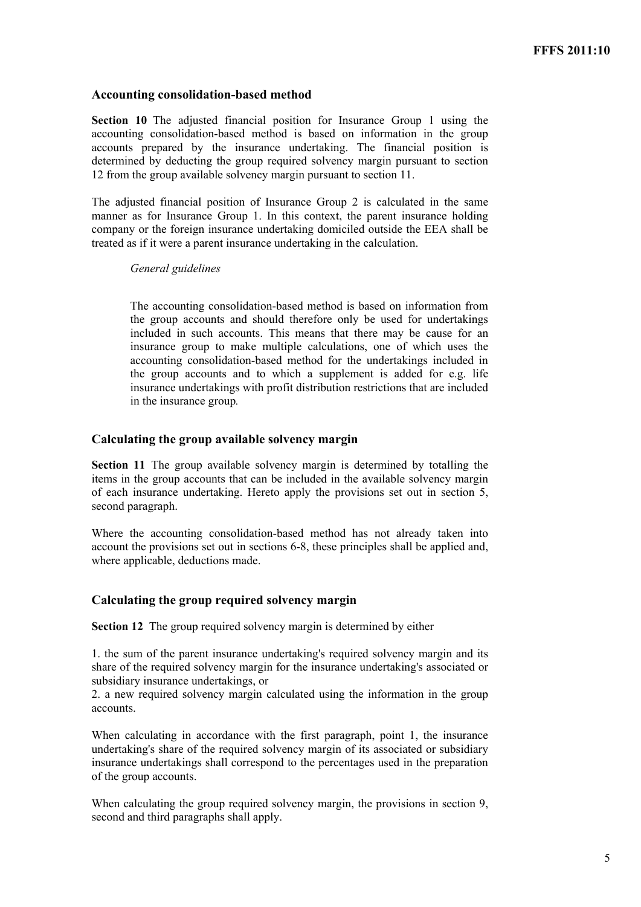#### **Accounting consolidation-based method**

**Section 10** The adjusted financial position for Insurance Group 1 using the accounting consolidation-based method is based on information in the group accounts prepared by the insurance undertaking. The financial position is determined by deducting the group required solvency margin pursuant to section 12 from the group available solvency margin pursuant to section 11.

The adjusted financial position of Insurance Group 2 is calculated in the same manner as for Insurance Group 1. In this context, the parent insurance holding company or the foreign insurance undertaking domiciled outside the EEA shall be treated as if it were a parent insurance undertaking in the calculation.

#### *General guidelines*

The accounting consolidation-based method is based on information from the group accounts and should therefore only be used for undertakings included in such accounts. This means that there may be cause for an insurance group to make multiple calculations, one of which uses the accounting consolidation-based method for the undertakings included in the group accounts and to which a supplement is added for e.g. life insurance undertakings with profit distribution restrictions that are included in the insurance group*.* 

#### **Calculating the group available solvency margin**

**Section 11** The group available solvency margin is determined by totalling the items in the group accounts that can be included in the available solvency margin of each insurance undertaking. Hereto apply the provisions set out in section 5, second paragraph.

Where the accounting consolidation-based method has not already taken into account the provisions set out in sections 6-8, these principles shall be applied and, where applicable, deductions made.

# **Calculating the group required solvency margin**

**Section 12** The group required solvency margin is determined by either

1. the sum of the parent insurance undertaking's required solvency margin and its share of the required solvency margin for the insurance undertaking's associated or subsidiary insurance undertakings, or

2. a new required solvency margin calculated using the information in the group accounts.

When calculating in accordance with the first paragraph, point 1, the insurance undertaking's share of the required solvency margin of its associated or subsidiary insurance undertakings shall correspond to the percentages used in the preparation of the group accounts.

When calculating the group required solvency margin, the provisions in section 9, second and third paragraphs shall apply.